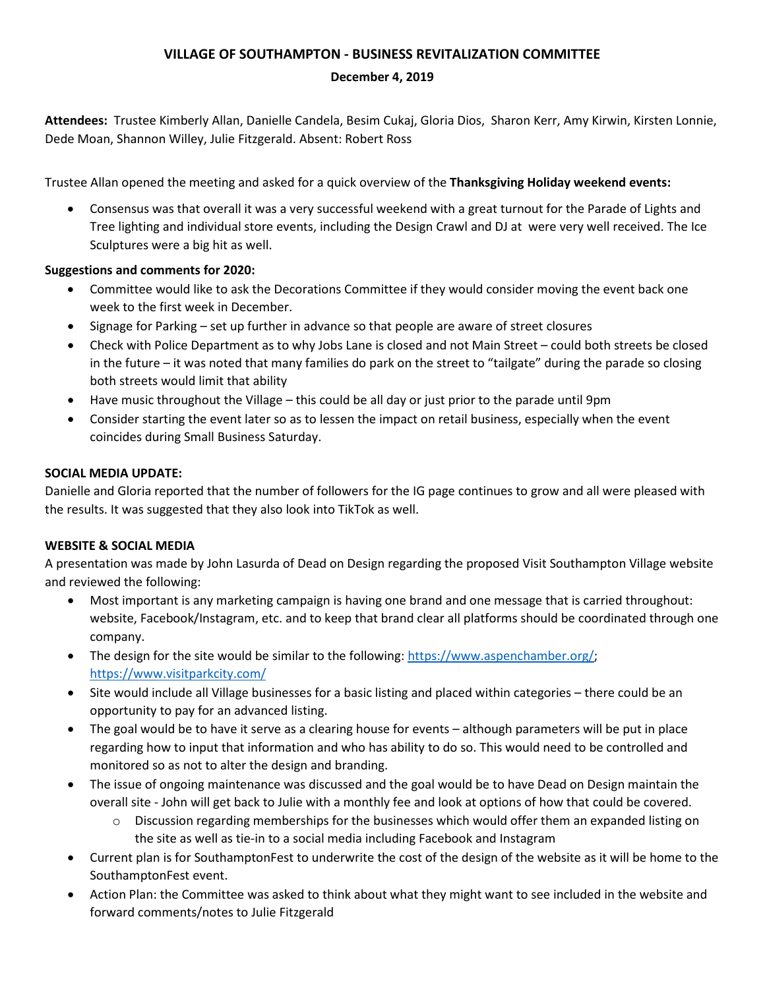# **VILLAGE OF SOUTHAMPTON - BUSINESS REVITALIZATION COMMITTEE**

#### **December 4, 2019**

**Attendees:** Trustee Kimberly Allan, Danielle Candela, Besim Cukaj, Gloria Dios, Sharon Kerr, Amy Kirwin, Kirsten Lonnie, Dede Moan, Shannon Willey, Julie Fitzgerald. Absent: Robert Ross

Trustee Allan opened the meeting and asked for a quick overview of the **Thanksgiving Holiday weekend events:**

• Consensus was that overall it was a very successful weekend with a great turnout for the Parade of Lights and Tree lighting and individual store events, including the Design Crawl and DJ at were very well received. The Ice Sculptures were a big hit as well.

## **Suggestions and comments for 2020:**

- Committee would like to ask the Decorations Committee if they would consider moving the event back one week to the first week in December.
- Signage for Parking set up further in advance so that people are aware of street closures
- Check with Police Department as to why Jobs Lane is closed and not Main Street could both streets be closed in the future – it was noted that many families do park on the street to "tailgate" during the parade so closing both streets would limit that ability
- Have music throughout the Village this could be all day or just prior to the parade until 9pm
- Consider starting the event later so as to lessen the impact on retail business, especially when the event coincides during Small Business Saturday.

## **SOCIAL MEDIA UPDATE:**

Danielle and Gloria reported that the number of followers for the IG page continues to grow and all were pleased with the results. It was suggested that they also look into TikTok as well.

## **WEBSITE & SOCIAL MEDIA**

A presentation was made by John Lasurda of Dead on Design regarding the proposed Visit Southampton Village website and reviewed the following:

- Most important is any marketing campaign is having one brand and one message that is carried throughout: website, Facebook/Instagram, etc. and to keep that brand clear all platforms should be coordinated through one company.
- The design for the site would be similar to the following: [https://www.aspenchamber.org/;](https://www.aspenchamber.org/) <https://www.visitparkcity.com/>
- Site would include all Village businesses for a basic listing and placed within categories there could be an opportunity to pay for an advanced listing.
- The goal would be to have it serve as a clearing house for events although parameters will be put in place regarding how to input that information and who has ability to do so. This would need to be controlled and monitored so as not to alter the design and branding.
- The issue of ongoing maintenance was discussed and the goal would be to have Dead on Design maintain the overall site - John will get back to Julie with a monthly fee and look at options of how that could be covered.
	- $\circ$  Discussion regarding memberships for the businesses which would offer them an expanded listing on the site as well as tie-in to a social media including Facebook and Instagram
- Current plan is for SouthamptonFest to underwrite the cost of the design of the website as it will be home to the SouthamptonFest event.
- Action Plan: the Committee was asked to think about what they might want to see included in the website and forward comments/notes to Julie Fitzgerald